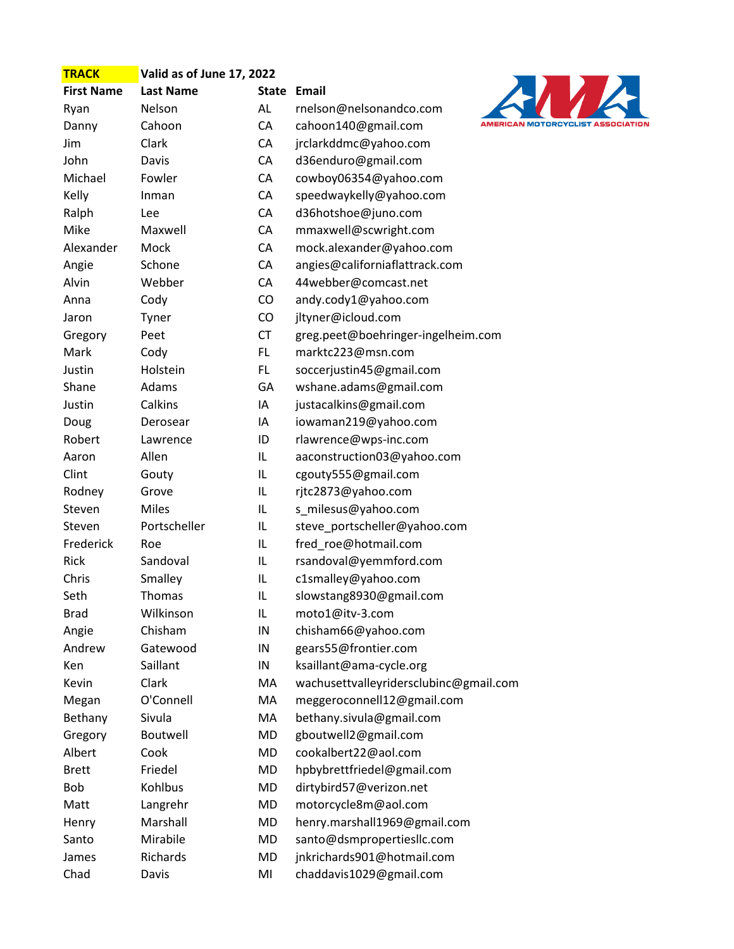| <b>TRACK</b>      | Valid as of June 17, 2022 |              |                                        |  |
|-------------------|---------------------------|--------------|----------------------------------------|--|
| <b>First Name</b> | <b>Last Name</b>          | <b>State</b> | Email                                  |  |
| Ryan              | Nelson                    | AL           | rnelson@nelsonandco.com                |  |
| Danny             | Cahoon                    | CA           | <b>AMERI</b><br>cahoon140@gmail.com    |  |
| Jim               | Clark                     | CA           | jrclarkddmc@yahoo.com                  |  |
| John              | Davis                     | CA           | d36enduro@gmail.com                    |  |
| Michael           | Fowler                    | CA           | cowboy06354@yahoo.com                  |  |
| Kelly             | Inman                     | CA           | speedwaykelly@yahoo.com                |  |
| Ralph             | Lee                       | CA           | d36hotshoe@juno.com                    |  |
| Mike              | Maxwell                   | CA           | mmaxwell@scwright.com                  |  |
| Alexander         | Mock                      | CA           | mock.alexander@yahoo.com               |  |
| Angie             | Schone                    | CA           | angies@californiaflattrack.com         |  |
| Alvin             | Webber                    | CA           | 44webber@comcast.net                   |  |
| Anna              | Cody                      | CO           | andy.cody1@yahoo.com                   |  |
| Jaron             | Tyner                     | CO           | jltyner@icloud.com                     |  |
| Gregory           | Peet                      | <b>CT</b>    | greg.peet@boehringer-ingelheim.com     |  |
| Mark              | Cody                      | FL           | marktc223@msn.com                      |  |
| Justin            | Holstein                  | FL           | soccerjustin45@gmail.com               |  |
| Shane             | Adams                     | GA           | wshane.adams@gmail.com                 |  |
| Justin            | Calkins                   | IA           | justacalkins@gmail.com                 |  |
| Doug              | Derosear                  | IA           | iowaman219@yahoo.com                   |  |
| Robert            | Lawrence                  | ID           | rlawrence@wps-inc.com                  |  |
| Aaron             | Allen                     | IL           | aaconstruction03@yahoo.com             |  |
| Clint             | Gouty                     | IL           | cgouty555@gmail.com                    |  |
| Rodney            | Grove                     | IL           | rjtc2873@yahoo.com                     |  |
| Steven            | <b>Miles</b>              | IL           | s_milesus@yahoo.com                    |  |
| Steven            | Portscheller              | IL           | steve_portscheller@yahoo.com           |  |
| Frederick         | Roe                       | IL           | fred_roe@hotmail.com                   |  |
| Rick              | Sandoval                  | IL           | rsandoval@yemmford.com                 |  |
| Chris             | Smalley                   | IL           | c1smalley@yahoo.com                    |  |
| Seth              | <b>Thomas</b>             | IL           | slowstang8930@gmail.com                |  |
| <b>Brad</b>       | Wilkinson                 | IL           | moto1@itv-3.com                        |  |
| Angie             | Chisham                   | IN           | chisham66@yahoo.com                    |  |
| Andrew            | Gatewood                  | ${\sf IN}$   | gears55@frontier.com                   |  |
| Ken               | Saillant                  | IN           | ksaillant@ama-cycle.org                |  |
| Kevin             | Clark                     | MA           | wachusettvalleyridersclubinc@gmail.com |  |
| Megan             | O'Connell                 | MA           | meggeroconnell12@gmail.com             |  |
| Bethany           | Sivula                    | MA           | bethany.sivula@gmail.com               |  |
| Gregory           | Boutwell                  | MD           | gboutwell2@gmail.com                   |  |
| Albert            | Cook                      | MD           | cookalbert22@aol.com                   |  |
| <b>Brett</b>      | Friedel                   | MD           | hpbybrettfriedel@gmail.com             |  |
| Bob               | Kohlbus                   | MD           | dirtybird57@verizon.net                |  |
| Matt              | Langrehr                  | MD           | motorcycle8m@aol.com                   |  |
| Henry             | Marshall                  | <b>MD</b>    | henry.marshall1969@gmail.com           |  |
| Santo             | Mirabile                  | MD           | santo@dsmpropertiesllc.com             |  |
| James             | Richards                  | MD           | jnkrichards901@hotmail.com             |  |
| Chad              | Davis                     | MI           | chaddavis1029@gmail.com                |  |

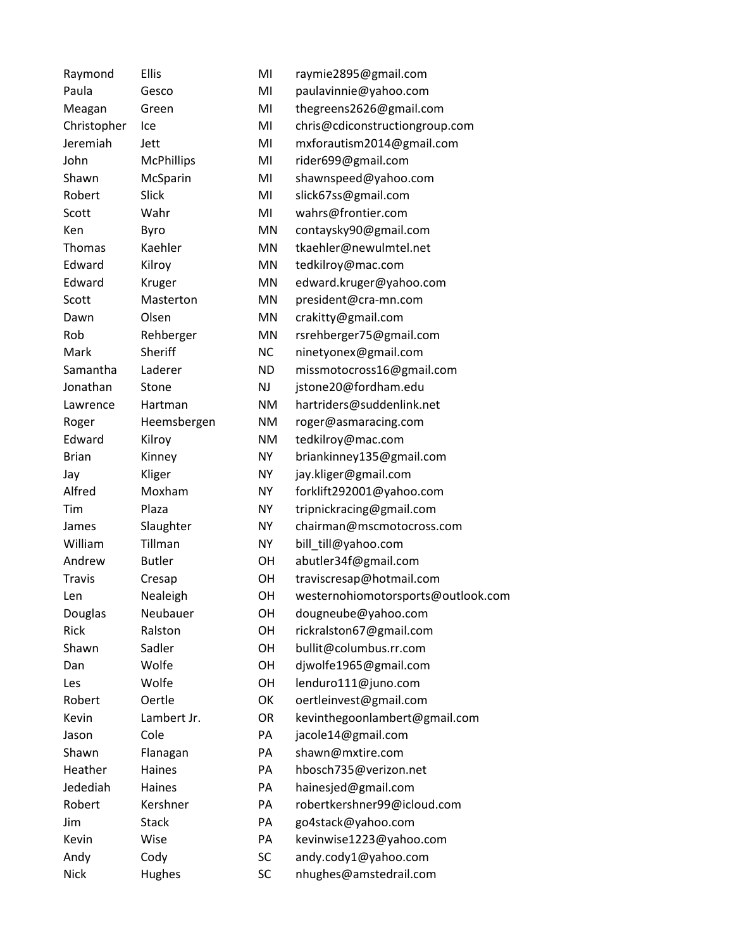| Raymond       | <b>Ellis</b>      | MI        | raymie2895@gmail.com               |
|---------------|-------------------|-----------|------------------------------------|
| Paula         | Gesco             | MI        | paulavinnie@yahoo.com              |
| Meagan        | Green             | MI        | thegreens2626@gmail.com            |
| Christopher   | Ice               | MI        | chris@cdiconstructiongroup.com     |
| Jeremiah      | Jett              | MI        | mxforautism2014@gmail.com          |
| John          | <b>McPhillips</b> | MI        | rider699@gmail.com                 |
| Shawn         | McSparin          | MI        | shawnspeed@yahoo.com               |
| Robert        | Slick             | MI        | slick67ss@gmail.com                |
| Scott         | Wahr              | MI        | wahrs@frontier.com                 |
| Ken           | Byro              | MN        | contaysky90@gmail.com              |
| Thomas        | Kaehler           | <b>MN</b> | tkaehler@newulmtel.net             |
| Edward        | Kilroy            | MN        | tedkilroy@mac.com                  |
| Edward        | Kruger            | MN        | edward.kruger@yahoo.com            |
| Scott         | Masterton         | <b>MN</b> | president@cra-mn.com               |
| Dawn          | Olsen             | MN        | crakitty@gmail.com                 |
| Rob           | Rehberger         | <b>MN</b> | rsrehberger75@gmail.com            |
| Mark          | Sheriff           | <b>NC</b> | ninetyonex@gmail.com               |
| Samantha      | Laderer           | <b>ND</b> | missmotocross16@gmail.com          |
| Jonathan      | Stone             | <b>NJ</b> | jstone20@fordham.edu               |
| Lawrence      | Hartman           | <b>NM</b> | hartriders@suddenlink.net          |
| Roger         | Heemsbergen       | <b>NM</b> | roger@asmaracing.com               |
| Edward        | Kilroy            | <b>NM</b> | tedkilroy@mac.com                  |
| <b>Brian</b>  | Kinney            | <b>NY</b> | briankinney135@gmail.com           |
| Jay           | Kliger            | <b>NY</b> | jay.kliger@gmail.com               |
| Alfred        | Moxham            | <b>NY</b> | forklift292001@yahoo.com           |
| Tim           | Plaza             | <b>NY</b> | tripnickracing@gmail.com           |
| James         | Slaughter         | <b>NY</b> | chairman@mscmotocross.com          |
| William       | Tillman           | <b>NY</b> | bill_till@yahoo.com                |
| Andrew        | <b>Butler</b>     | OН        | abutler34f@gmail.com               |
| <b>Travis</b> | Cresap            | OH        | traviscresap@hotmail.com           |
| Len           | Nealeigh          | OH        | westernohiomotorsports@outlook.com |
| Douglas       | Neubauer          | OH        | dougneube@yahoo.com                |
| <b>Rick</b>   | Ralston           | OH        | rickralston67@gmail.com            |
| Shawn         | Sadler            | OH        | bullit@columbus.rr.com             |
| Dan           | Wolfe             | OH        | djwolfe1965@gmail.com              |
| Les           | Wolfe             | OH        | lenduro111@juno.com                |
| Robert        | Oertle            | OK        | oertleinvest@gmail.com             |
| Kevin         | Lambert Jr.       | <b>OR</b> | kevinthegoonlambert@gmail.com      |
| Jason         | Cole              | PA        | jacole14@gmail.com                 |
| Shawn         | Flanagan          | PA        | shawn@mxtire.com                   |
| Heather       | Haines            | PA        | hbosch735@verizon.net              |
| Jedediah      | Haines            | PA        | hainesjed@gmail.com                |
| Robert        | Kershner          | PA        | robertkershner99@icloud.com        |
| Jim           | <b>Stack</b>      | PA        | go4stack@yahoo.com                 |
| Kevin         | Wise              | PA        | kevinwise1223@yahoo.com            |
| Andy          | Cody              | SC        | andy.cody1@yahoo.com               |
| <b>Nick</b>   | Hughes            | SC        | nhughes@amstedrail.com             |